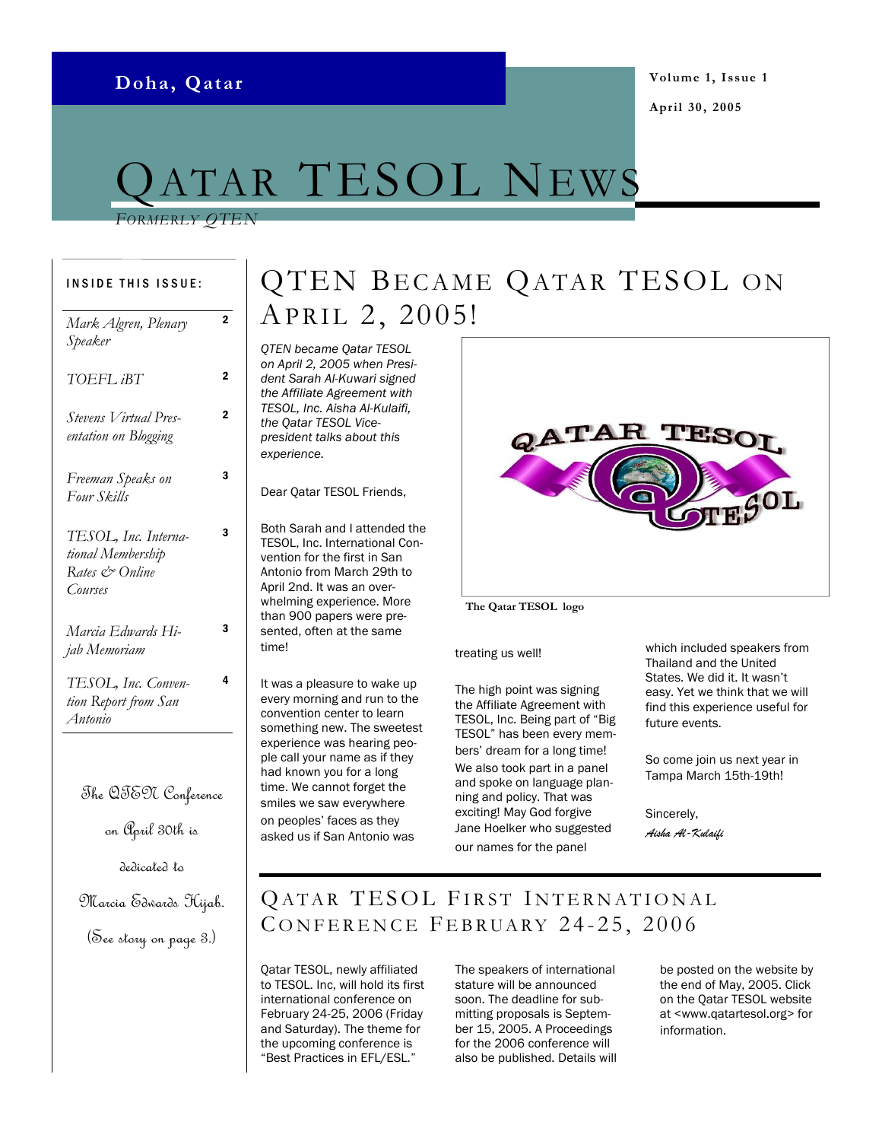# <code>rar</code> <code>TESOL</code> News

#### FORMERLY OTEN

| <b>INSIDE THIS ISSUE:</b>                                              |                |
|------------------------------------------------------------------------|----------------|
| Mark Algren, Plenary<br>Speaker                                        | $\overline{2}$ |
| TOEFL iBT                                                              | 2              |
| Stevens Virtual Pres-<br>entation on Blogging                          | $\overline{2}$ |
| Freeman Speaks on<br>Four Skills                                       | з              |
| TESOL, Inc. Interna-<br>tional Membership<br>Rates & Online<br>Courses | 3              |
| Marcia Edwards Hi-<br>jab Memoriam                                     | 3              |
| TESOL, Inc. Conven-<br>tion Report from San<br>Antonio                 | 4              |
| The QTE97 Conference                                                   |                |
| on ( <sup>'</sup> April 30th is                                        |                |
| dedicated to                                                           |                |

#### Marcia Edwards Hijab.

#### (See story on page 3.)

## QTEN BECAME QATAR TESOL ON APRIL 2, 2005!

QTEN became Qatar TESOL on April 2, 2005 when President Sarah Al-Kuwari signed the Affiliate Agreement with TESOL, Inc. Aisha Al-Kulaifi, the Qatar TESOL Vicepresident talks about this experience.

Dear Qatar TESOL Friends,

Both Sarah and I attended the TESOL, Inc. International Convention for the first in San Antonio from March 29th to April 2nd. It was an overwhelming experience. More than 900 papers were presented, often at the same time!

It was a pleasure to wake up every morning and run to the convention center to learn something new. The sweetest experience was hearing people call your name as if they had known you for a long time. We cannot forget the smiles we saw everywhere on peoples' faces as they asked us if San Antonio was



#### The Qatar TESOL logo

treating us well!

The high point was signing the Affiliate Agreement with TESOL, Inc. Being part of "Big TESOL" has been every members' dream for a long time! We also took part in a panel and spoke on language planning and policy. That was exciting! May God forgive Jane Hoelker who suggested our names for the panel

which included speakers from Thailand and the United States. We did it. It wasn't easy. Yet we think that we will find this experience useful for future events.

So come join us next year in Tampa March 15th-19th!

Sincerely, Aisha Al-Kulaifi

### QATAR TESOL FIRST INTERNATIONAL CONFERENCE FEBRUARY 24-25, 2006

Qatar TESOL, newly affiliated to TESOL. Inc, will hold its first international conference on February 24-25, 2006 (Friday and Saturday). The theme for the upcoming conference is "Best Practices in EFL/ESL."

The speakers of international stature will be announced soon. The deadline for submitting proposals is September 15, 2005. A Proceedings for the 2006 conference will also be published. Details will be posted on the website by the end of May, 2005. Click on the Qatar TESOL website at <www.qatartesol.org> for information.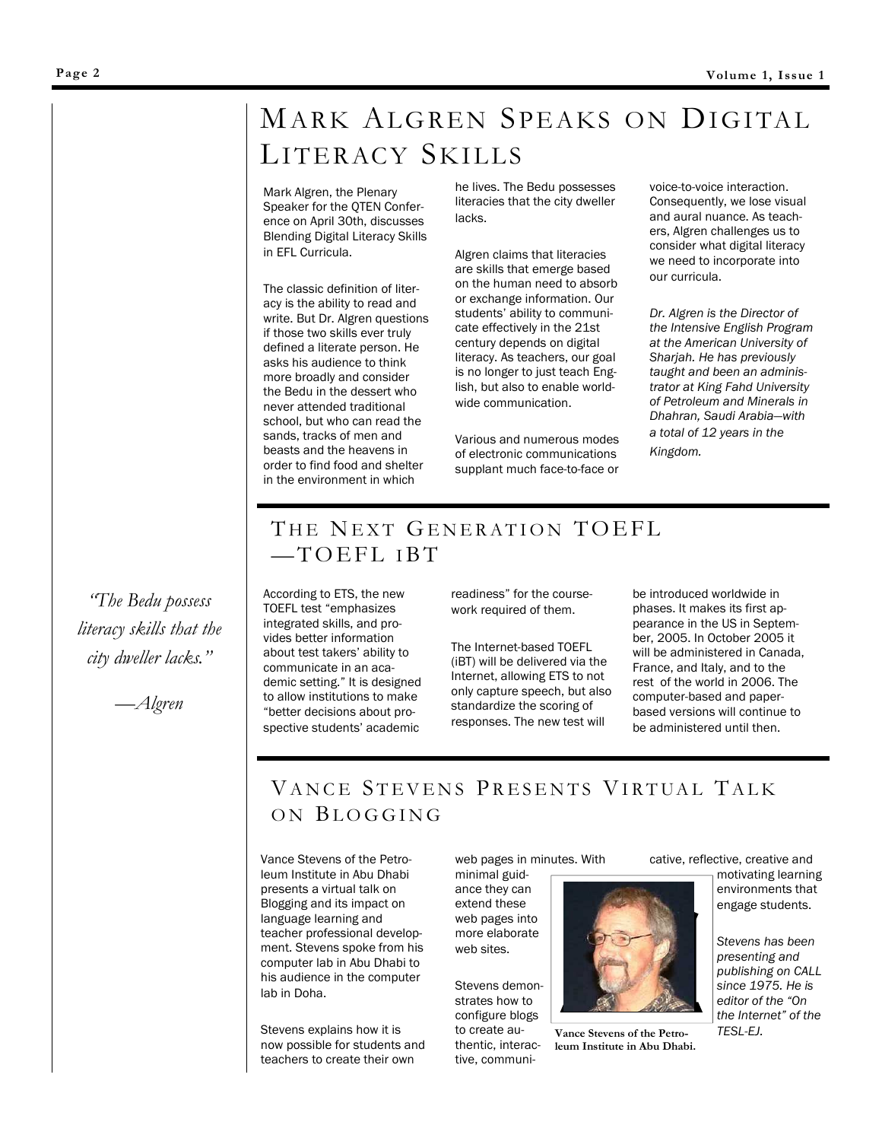## MARK ALGREN SPEAKS ON DIGITAL LITERACY SKILLS

Mark Algren, the Plenary Speaker for the QTEN Conference on April 30th, discusses Blending Digital Literacy Skills in EFL Curricula.

The classic definition of literacy is the ability to read and write. But Dr. Algren questions if those two skills ever truly defined a literate person. He asks his audience to think more broadly and consider the Bedu in the dessert who never attended traditional school, but who can read the sands, tracks of men and beasts and the heavens in order to find food and shelter in the environment in which

he lives. The Bedu possesses literacies that the city dweller lacks.

Algren claims that literacies are skills that emerge based on the human need to absorb or exchange information. Our students' ability to communicate effectively in the 21st century depends on digital literacy. As teachers, our goal is no longer to just teach English, but also to enable worldwide communication.

Various and numerous modes of electronic communications supplant much face-to-face or voice-to-voice interaction. Consequently, we lose visual and aural nuance. As teachers, Algren challenges us to consider what digital literacy we need to incorporate into our curricula.

Dr. Algren is the Director of the Intensive English Program at the American University of Sharjah. He has previously taught and been an administrator at King Fahd University of Petroleum and Minerals in Dhahran, Saudi Arabia—with a total of 12 years in the Kingdom.

### THE NEXT GENERATION TOEFL  $-TOEFLIBT$

According to ETS, the new TOEFL test "emphasizes integrated skills, and provides better information about test takers' ability to communicate in an academic setting." It is designed to allow institutions to make "better decisions about prospective students' academic

readiness" for the coursework required of them.

The Internet-based TOEFL (iBT) will be delivered via the Internet, allowing ETS to not only capture speech, but also standardize the scoring of responses. The new test will

be introduced worldwide in phases. It makes its first appearance in the US in September, 2005. In October 2005 it will be administered in Canada, France, and Italy, and to the rest of the world in 2006. The computer-based and paperbased versions will continue to be administered until then.

## VANCE STEVENS PRESENTS VIRTUAL TALK ON BLOGGING

Vance Stevens of the Petroleum Institute in Abu Dhabi presents a virtual talk on Blogging and its impact on language learning and teacher professional development. Stevens spoke from his computer lab in Abu Dhabi to his audience in the computer lab in Doha.

Stevens explains how it is now possible for students and teachers to create their own

web pages in minutes. With

minimal guidance they can extend these web pages into more elaborate web sites.

Stevens demonstrates how to configure blogs to create authentic, interactive, communi-



Vance Stevens of the Petroleum Institute in Abu Dhabi.

cative, reflective, creative and

motivating learning environments that engage students.

Stevens has been presenting and publishing on CALL since 1975. He is editor of the "On the Internet" of the TESL-EJ.

"The Bedu possess literacy skills that the city dweller lacks."

—Algren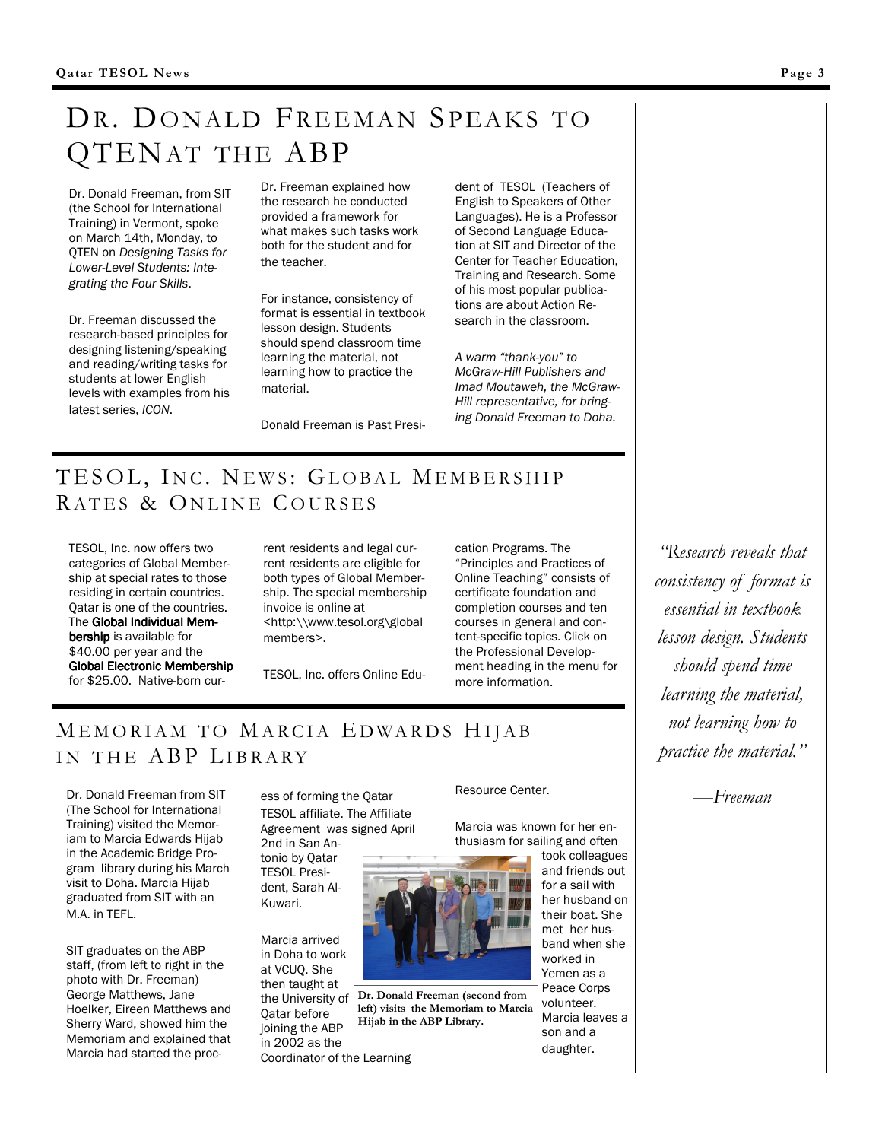## DR. DONALD FREEMAN SPEAKS TO QTENAT THE ABP

Dr. Donald Freeman, from SIT (the School for International Training) in Vermont, spoke on March 14th, Monday, to QTEN on Designing Tasks for Lower-Level Students: Integrating the Four Skills.

Dr. Freeman discussed the research-based principles for designing listening/speaking and reading/writing tasks for students at lower English levels with examples from his latest series, ICON.

Dr. Freeman explained how the research he conducted provided a framework for what makes such tasks work both for the student and for the teacher.

For instance, consistency of format is essential in textbook lesson design. Students should spend classroom time learning the material, not learning how to practice the material.

Donald Freeman is Past Presi-

English to Speakers of Other Languages). He is a Professor of Second Language Education at SIT and Director of the Center for Teacher Education, Training and Research. Some of his most popular publications are about Action Research in the classroom.

dent of TESOL (Teachers of

A warm "thank-you" to McGraw-Hill Publishers and Imad Moutaweh, the McGraw-Hill representative, for bringing Donald Freeman to Doha.

### TESOL, INC. NEWS: GLOBAL MEMBERSHIP RATES & ONLINE COURSES

TESOL, Inc. now offers two categories of Global Membership at special rates to those residing in certain countries. Qatar is one of the countries. The Global Individual Membership is available for \$40.00 per year and the Global Electronic Membership for \$25.00. Native-born current residents and legal current residents are eligible for both types of Global Membership. The special membership invoice is online at <http:\\www.tesol.org\global members>.

TESOL, Inc. offers Online Edu-

cation Programs. The "Principles and Practices of Online Teaching" consists of certificate foundation and completion courses and ten courses in general and content-specific topics. Click on the Professional Development heading in the menu for more information.

### MEMORIAM TO MARCIA EDWARDS HIJAB IN THE ABP LIBRARY

Dr. Donald Freeman from SIT (The School for International Training) visited the Memoriam to Marcia Edwards Hijab in the Academic Bridge Program library during his March visit to Doha. Marcia Hijab graduated from SIT with an M.A. in TEFL.

SIT graduates on the ABP staff, (from left to right in the photo with Dr. Freeman) George Matthews, Jane Hoelker, Eireen Matthews and Sherry Ward, showed him the Memoriam and explained that Marcia had started the process of forming the Qatar TESOL affiliate. The Affiliate Agreement was signed April 2nd in San An-

tonio by Qatar TESOL President, Sarah Al-Kuwari.

Marcia arrived in Doha to work at VCUQ. She then taught at Qatar before joining the ABP in 2002 as the Coordinator of the Learning Resource Center.

Marcia was known for her enthusiasm for sailing and often took colleagues



the University of Dr. Donald Freeman (second from left) visits the Memoriam to Marcia Hijab in the ABP Library.

and friends out for a sail with her husband on their boat. She met her husband when she worked in Yemen as a Peace Corps volunteer. Marcia leaves a son and a daughter.

"Research reveals that consistency of format is essential in textbook lesson design. Students should spend time learning the material, not learning how to practice the material."

—Freeman